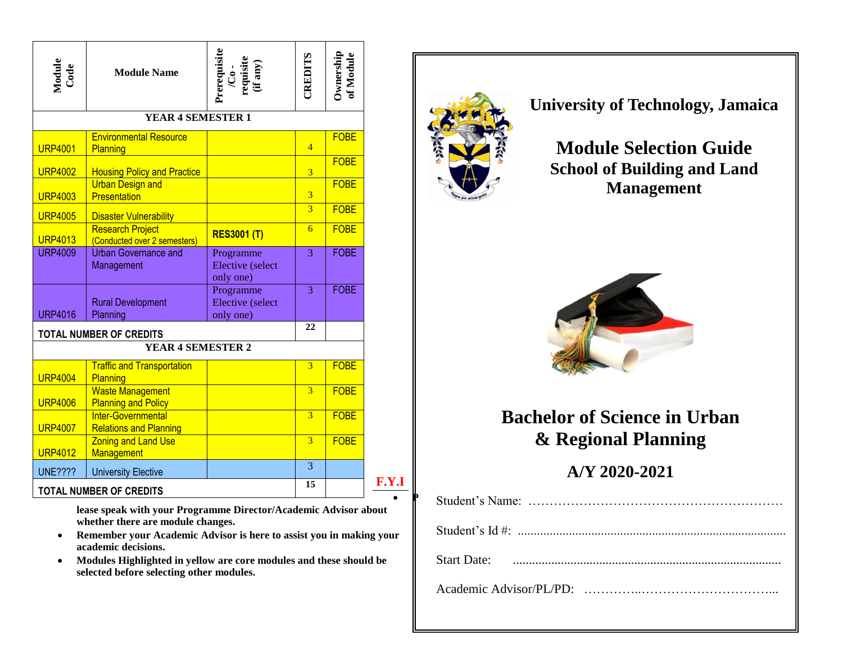| Module<br>Code                 | <b>Module Name</b>                                      | Prerequisite<br>$/$ Co -<br>requisite<br>(if any) | CREDITS                 | Ownership<br>of Module |  |  |
|--------------------------------|---------------------------------------------------------|---------------------------------------------------|-------------------------|------------------------|--|--|
| YEAR 4 SEMESTER 1              |                                                         |                                                   |                         |                        |  |  |
| <b>URP4001</b>                 | <b>Environmental Resource</b><br>Planning               |                                                   | $\overline{4}$          | <b>FOBE</b>            |  |  |
| <b>URP4002</b>                 | <b>Housing Policy and Practice</b>                      |                                                   | $\overline{3}$          | <b>FOBE</b>            |  |  |
| <b>URP4003</b>                 | <b>Urban Design and</b><br><b>Presentation</b>          |                                                   | $\overline{3}$          | <b>FOBE</b>            |  |  |
| <b>URP4005</b>                 | <b>Disaster Vulnerability</b>                           |                                                   | $\overline{3}$          | <b>FOBE</b>            |  |  |
| <b>URP4013</b>                 | <b>Research Project</b><br>(Conducted over 2 semesters) | <b>RES3001 (T)</b>                                | $\overline{6}$          | <b>FOBE</b>            |  |  |
| <b>URP4009</b>                 | <b>Urban Governance and</b><br>Management               | Programme<br><b>Elective</b> (select<br>only one) | $\overline{3}$          | <b>FOBE</b>            |  |  |
| <b>URP4016</b>                 | <b>Rural Development</b><br>Planning                    | Programme<br>Elective (select<br>only one)        | 3                       | <b>FOBE</b>            |  |  |
|                                | <b>TOTAL NUMBER OF CREDITS</b>                          |                                                   | 22                      |                        |  |  |
|                                | <b>YEAR 4 SEMESTER 2</b>                                |                                                   |                         |                        |  |  |
| <b>URP4004</b>                 | <b>Traffic and Transportation</b><br>Planning           |                                                   | $\overline{\mathbf{3}}$ | <b>FOBE</b>            |  |  |
| <b>URP4006</b>                 | <b>Waste Management</b><br><b>Planning and Policy</b>   |                                                   | $\overline{3}$          | <b>FOBE</b>            |  |  |
| <b>URP4007</b>                 | Inter-Governmental<br><b>Relations and Planning</b>     |                                                   | $\overline{3}$          | <b>FOBE</b>            |  |  |
| <b>URP4012</b>                 | <b>Zoning and Land Use</b><br><b>Management</b>         |                                                   | $\overline{3}$          | <b>FOBE</b>            |  |  |
| <b>UNE????</b>                 | <b>University Elective</b>                              |                                                   | $\overline{3}$<br>15    |                        |  |  |
| <b>TOTAL NUMBER OF CREDITS</b> |                                                         |                                                   |                         |                        |  |  |

**lease speak with your Programme Director/Academic Advisor about whether there are module changes.** 

- **Remember your Academic Advisor is here to assist you in making your academic decisions.**
- **Modules Highlighted in yellow are core modules and these should be selected before selecting other modules.**



**P**

**University of Technology, Jamaica** 

## **Module Selection Guide School of Building and Land Management**



## **Bachelor of Science in Urban & Regional Planning**

## **A/Y 2020-2021**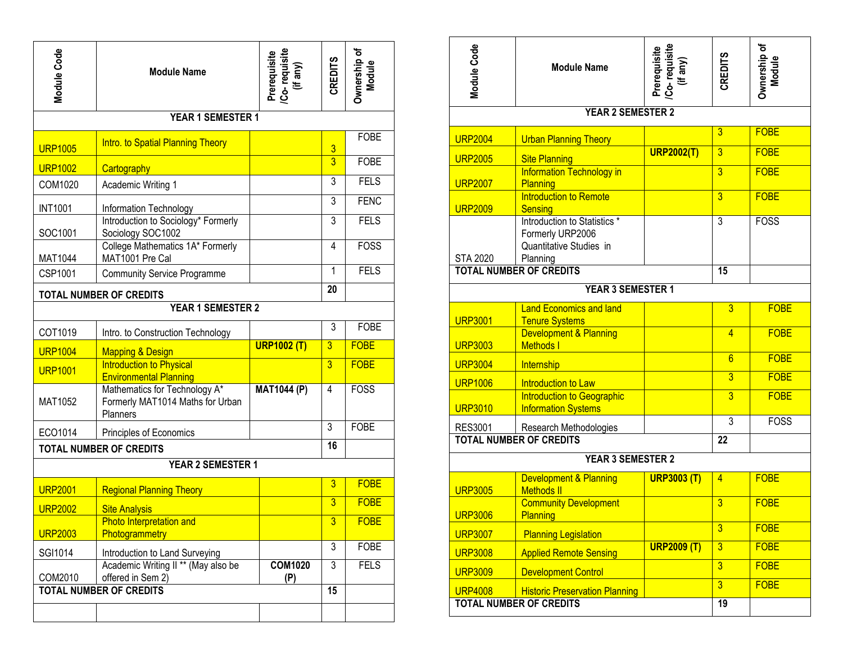| Module Code                    | <b>Module Name</b>                                                            |                    | Prerequisite<br>/Co- requisite<br>(if any) | <b>CREDITS</b> | Ownership of<br>Module |
|--------------------------------|-------------------------------------------------------------------------------|--------------------|--------------------------------------------|----------------|------------------------|
|                                | YEAR 1 SEMESTER 1                                                             |                    |                                            |                |                        |
| <b>URP1005</b>                 | <b>Intro. to Spatial Planning Theory</b>                                      |                    |                                            | $\frac{3}{3}$  | <b>FOBE</b>            |
| <b>URP1002</b>                 | Cartography                                                                   |                    |                                            |                | <b>FOBE</b>            |
| COM1020                        | Academic Writing 1                                                            |                    |                                            | 3              | <b>FELS</b>            |
| <b>INT1001</b>                 | Information Technology                                                        |                    |                                            | 3              | <b>FENC</b>            |
| SOC1001                        | Introduction to Sociology* Formerly<br>Sociology SOC1002                      |                    |                                            | 3              | <b>FELS</b>            |
| MAT1044                        | College Mathematics 1A* Formerly<br>MAT1001 Pre Cal                           |                    | 4                                          | <b>FOSS</b>    |                        |
| CSP1001                        | <b>Community Service Programme</b>                                            |                    | 1                                          | <b>FELS</b>    |                        |
| <b>TOTAL NUMBER OF CREDITS</b> |                                                                               |                    | 20                                         |                |                        |
|                                | <b>YEAR 1 SEMESTER 2</b>                                                      |                    |                                            |                |                        |
| COT1019                        | Intro. to Construction Technology                                             |                    |                                            | 3              | <b>FOBE</b>            |
| <b>URP1004</b>                 | <b>Mapping &amp; Design</b>                                                   | <b>URP1002 (T)</b> |                                            | $\overline{3}$ | <b>FOBE</b>            |
| <b>URP1001</b>                 | <b>Introduction to Physical</b><br><b>Environmental Planning</b>              |                    |                                            | $\overline{3}$ | <b>FOBE</b>            |
| MAT1052                        | Mathematics for Technology A*<br>Formerly MAT1014 Maths for Urban<br>Planners | <b>MAT1044 (P)</b> |                                            | $\overline{4}$ | <b>FOSS</b>            |
| ECO1014                        | Principles of Economics                                                       |                    | 3                                          | <b>FOBE</b>    |                        |
| <b>TOTAL NUMBER OF CREDITS</b> |                                                                               |                    | 16                                         |                |                        |
| YEAR 2 SEMESTER 1              |                                                                               |                    |                                            |                |                        |
| <b>URP2001</b>                 | <b>Regional Planning Theory</b>                                               |                    |                                            | 3              | <b>FOBE</b>            |
| <b>URP2002</b>                 | <b>Site Analysis</b>                                                          |                    |                                            | 3              | <b>FOBE</b>            |
| <b>URP2003</b>                 | Photo Interpretation and<br>Photogrammetry                                    |                    |                                            | $\overline{3}$ | <b>FOBE</b>            |
| SGI1014                        | Introduction to Land Surveying                                                |                    |                                            | 3              | <b>FOBE</b>            |
| COM2010                        | Academic Writing II ** (May also be<br>offered in Sem 2)                      |                    | <b>COM1020</b><br>(P)                      | 3              | <b>FELS</b>            |
| <b>TOTAL NUMBER OF CREDITS</b> |                                                                               |                    | 15                                         |                |                        |
|                                |                                                                               |                    |                                            |                |                        |

| Module Code                    | <b>Module Name</b>                                                                      | Prerequisite<br>/Co- requisite<br>(if any)          | <b>CREDITS</b>  | Ownership of<br>Module |  |  |
|--------------------------------|-----------------------------------------------------------------------------------------|-----------------------------------------------------|-----------------|------------------------|--|--|
| <b>YEAR 2 SEMESTER 2</b>       |                                                                                         |                                                     |                 |                        |  |  |
| <b>URP2004</b>                 | <b>Urban Planning Theory</b>                                                            |                                                     | $\overline{3}$  | <b>FOBE</b>            |  |  |
| <b>URP2005</b>                 | <b>Site Planning</b>                                                                    | <b>URP2002(T)</b>                                   | $\overline{3}$  | <b>FOBE</b>            |  |  |
| <b>URP2007</b>                 | <b>Information Technology in</b><br>Planning                                            |                                                     | $\overline{3}$  | <b>FOBE</b>            |  |  |
| <b>URP2009</b>                 | Introduction to Remote<br>Sensing                                                       |                                                     | $\overline{3}$  | <b>FOBE</b>            |  |  |
| <b>STA 2020</b>                | Introduction to Statistics *<br>Formerly URP2006<br>Quantitative Studies in<br>Planning |                                                     | 3               | <b>FOSS</b>            |  |  |
| <b>TOTAL NUMBER OF CREDITS</b> |                                                                                         | 15                                                  |                 |                        |  |  |
| YEAR 3 SEMESTER 1              |                                                                                         |                                                     |                 |                        |  |  |
| <b>URP3001</b>                 | <b>Land Economics and land</b>                                                          |                                                     | $\overline{3}$  | <b>FOBE</b>            |  |  |
| <b>URP3003</b>                 | <b>Tenure Systems</b><br><b>Development &amp; Planning</b><br><b>Methods</b> I          |                                                     | $\overline{4}$  | <b>FOBE</b>            |  |  |
| <b>URP3004</b>                 | Internship                                                                              |                                                     | $6\overline{6}$ | <b>FOBE</b>            |  |  |
| <b>URP1006</b>                 | Introduction to Law                                                                     |                                                     | $\overline{3}$  | <b>FOBE</b>            |  |  |
| <b>URP3010</b>                 | <b>Introduction to Geographic</b><br><b>Information Systems</b>                         |                                                     | $\overline{3}$  | <b>FOBE</b>            |  |  |
| <b>RES3001</b>                 | Research Methodologies                                                                  |                                                     | $\overline{3}$  | <b>FOSS</b>            |  |  |
|                                | <b>TOTAL NUMBER OF CREDITS</b>                                                          |                                                     | 22              |                        |  |  |
| YEAR 3 SEMESTER 2              |                                                                                         |                                                     |                 |                        |  |  |
| <b>URP3005</b>                 | <b>Development &amp; Planning</b><br><b>Methods II</b>                                  | <b>URP3003 (T)</b>                                  | $\overline{4}$  | <b>FOBE</b>            |  |  |
| <b>URP3006</b>                 | <b>Community Development</b><br><b>Planning</b>                                         |                                                     | $\overline{3}$  | <b>FOBE</b>            |  |  |
| <b>URP3007</b>                 | <b>Planning Legislation</b>                                                             |                                                     | $\overline{3}$  | <b>FOBE</b>            |  |  |
| <b>URP3008</b>                 | <b>Applied Remote Sensing</b>                                                           | <b>URP2009 (T)</b><br>$\overline{3}$<br><b>FOBE</b> |                 |                        |  |  |
| <b>URP3009</b>                 | <b>Development Control</b>                                                              |                                                     | $\overline{3}$  | <b>FOBE</b>            |  |  |
| <b>URP4008</b>                 | <b>Historic Preservation Planning</b>                                                   |                                                     | $\overline{3}$  | <b>FOBE</b>            |  |  |
| <b>TOTAL NUMBER OF CREDITS</b> | 19                                                                                      |                                                     |                 |                        |  |  |